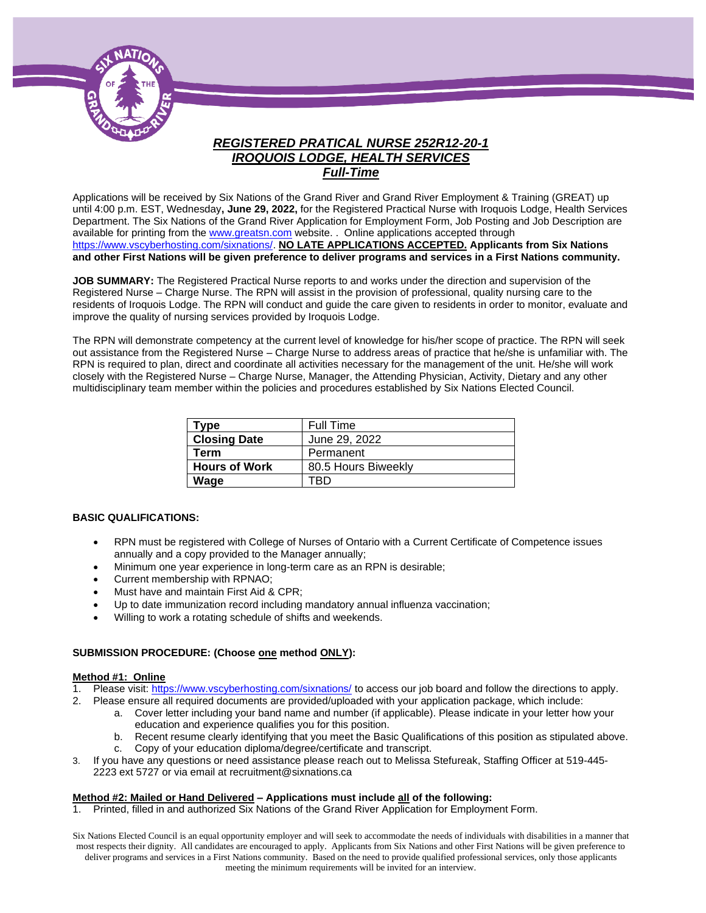

## *REGISTERED PRATICAL NURSE 252R12-20-1 IROQUOIS LODGE, HEALTH SERVICES Full-Time*

Applications will be received by Six Nations of the Grand River and Grand River Employment & Training (GREAT) up until 4:00 p.m. EST, Wednesday**, June 29, 2022,** for the Registered Practical Nurse with Iroquois Lodge, Health Services Department. The Six Nations of the Grand River Application for Employment Form, Job Posting and Job Description are available for printing from th[e www.greatsn.com](http://www.greatsn.com/) website. . Online applications accepted through [https://www.vscyberhosting.com/sixnations/.](https://www.vscyberhosting.com/sixnations/) **NO LATE APPLICATIONS ACCEPTED. Applicants from Six Nations and other First Nations will be given preference to deliver programs and services in a First Nations community.**

**JOB SUMMARY:** The Registered Practical Nurse reports to and works under the direction and supervision of the Registered Nurse – Charge Nurse. The RPN will assist in the provision of professional, quality nursing care to the residents of Iroquois Lodge. The RPN will conduct and guide the care given to residents in order to monitor, evaluate and improve the quality of nursing services provided by Iroquois Lodge.

The RPN will demonstrate competency at the current level of knowledge for his/her scope of practice. The RPN will seek out assistance from the Registered Nurse – Charge Nurse to address areas of practice that he/she is unfamiliar with. The RPN is required to plan, direct and coordinate all activities necessary for the management of the unit. He/she will work closely with the Registered Nurse – Charge Nurse, Manager, the Attending Physician, Activity, Dietary and any other multidisciplinary team member within the policies and procedures established by Six Nations Elected Council.

| Type                 | Full Time           |
|----------------------|---------------------|
| <b>Closing Date</b>  | June 29, 2022       |
| Term                 | Permanent           |
| <b>Hours of Work</b> | 80.5 Hours Biweekly |
| Wage                 | -RD                 |

#### **BASIC QUALIFICATIONS:**

- RPN must be registered with College of Nurses of Ontario with a Current Certificate of Competence issues annually and a copy provided to the Manager annually;
- Minimum one year experience in long-term care as an RPN is desirable;
- Current membership with RPNAO;
- Must have and maintain First Aid & CPR;
- Up to date immunization record including mandatory annual influenza vaccination;
- Willing to work a rotating schedule of shifts and weekends.

#### **SUBMISSION PROCEDURE: (Choose one method ONLY):**

#### **Method #1: Online**

- 1. Please visit[: https://www.vscyberhosting.com/sixnations/](https://www.vscyberhosting.com/sixnations/) to access our job board and follow the directions to apply.
- 2. Please ensure all required documents are provided/uploaded with your application package, which include:
	- a. Cover letter including your band name and number (if applicable). Please indicate in your letter how your education and experience qualifies you for this position.
		- b. Recent resume clearly identifying that you meet the Basic Qualifications of this position as stipulated above.
		- c. Copy of your education diploma/degree/certificate and transcript.
- 3. If you have any questions or need assistance please reach out to Melissa Stefureak, Staffing Officer at 519-445- 2223 ext 5727 or via email at recruitment@sixnations.ca

#### **Method #2: Mailed or Hand Delivered – Applications must include all of the following:**

1. Printed, filled in and authorized Six Nations of the Grand River Application for Employment Form.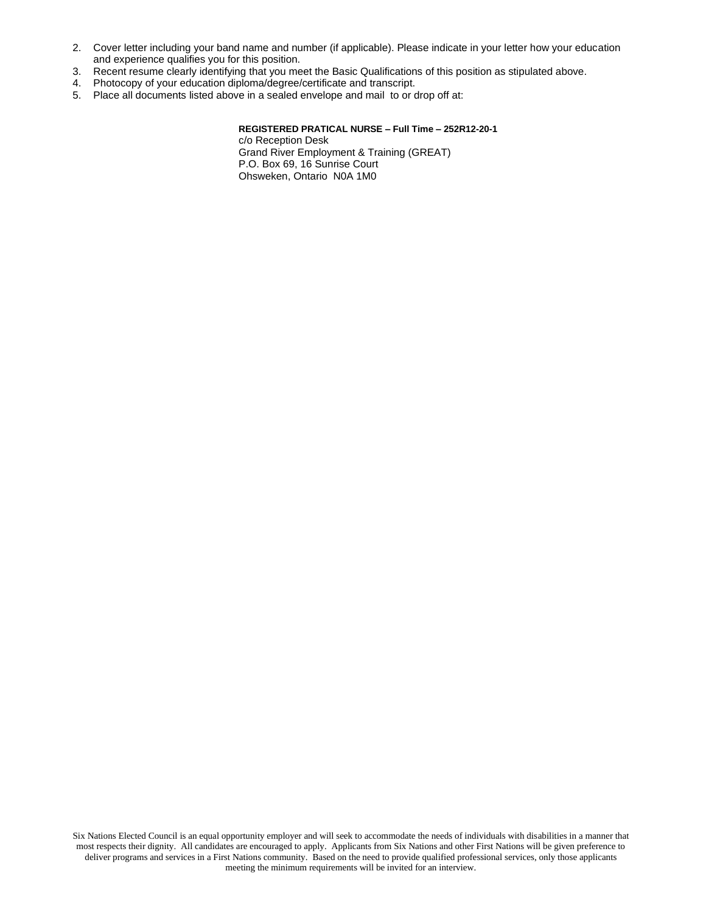- 2. Cover letter including your band name and number (if applicable). Please indicate in your letter how your education and experience qualifies you for this position.
- 3. Recent resume clearly identifying that you meet the Basic Qualifications of this position as stipulated above.
- 4. Photocopy of your education diploma/degree/certificate and transcript.
- 5. Place all documents listed above in a sealed envelope and mail to or drop off at:

#### **REGISTERED PRATICAL NURSE – Full Time – 252R12-20-1** c/o Reception Desk Grand River Employment & Training (GREAT) P.O. Box 69, 16 Sunrise Court Ohsweken, Ontario N0A 1M0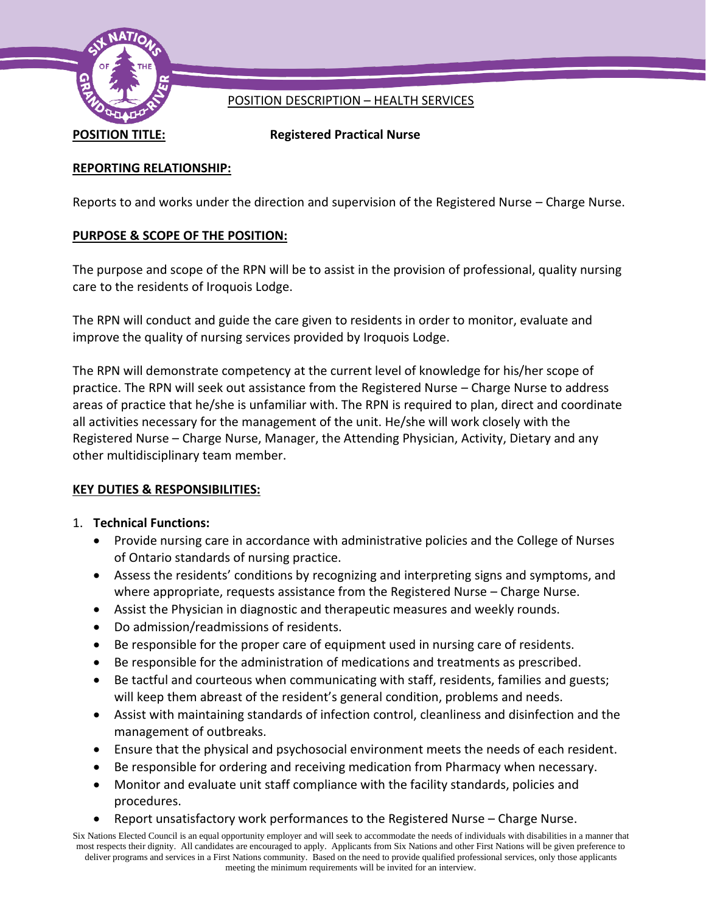

# POSITION DESCRIPTION – HEALTH SERVICES

**POSITION TITLE: Registered Practical Nurse**

## **REPORTING RELATIONSHIP:**

Reports to and works under the direction and supervision of the Registered Nurse – Charge Nurse.

# **PURPOSE & SCOPE OF THE POSITION:**

The purpose and scope of the RPN will be to assist in the provision of professional, quality nursing care to the residents of Iroquois Lodge.

The RPN will conduct and guide the care given to residents in order to monitor, evaluate and improve the quality of nursing services provided by Iroquois Lodge.

The RPN will demonstrate competency at the current level of knowledge for his/her scope of practice. The RPN will seek out assistance from the Registered Nurse – Charge Nurse to address areas of practice that he/she is unfamiliar with. The RPN is required to plan, direct and coordinate all activities necessary for the management of the unit. He/she will work closely with the Registered Nurse – Charge Nurse, Manager, the Attending Physician, Activity, Dietary and any other multidisciplinary team member.

## **KEY DUTIES & RESPONSIBILITIES:**

## 1. **Technical Functions:**

- Provide nursing care in accordance with administrative policies and the College of Nurses of Ontario standards of nursing practice.
- Assess the residents' conditions by recognizing and interpreting signs and symptoms, and where appropriate, requests assistance from the Registered Nurse – Charge Nurse.
- Assist the Physician in diagnostic and therapeutic measures and weekly rounds.
- Do admission/readmissions of residents.
- Be responsible for the proper care of equipment used in nursing care of residents.
- Be responsible for the administration of medications and treatments as prescribed.
- Be tactful and courteous when communicating with staff, residents, families and guests; will keep them abreast of the resident's general condition, problems and needs.
- Assist with maintaining standards of infection control, cleanliness and disinfection and the management of outbreaks.
- Ensure that the physical and psychosocial environment meets the needs of each resident.
- Be responsible for ordering and receiving medication from Pharmacy when necessary.
- Monitor and evaluate unit staff compliance with the facility standards, policies and procedures.
- Report unsatisfactory work performances to the Registered Nurse Charge Nurse.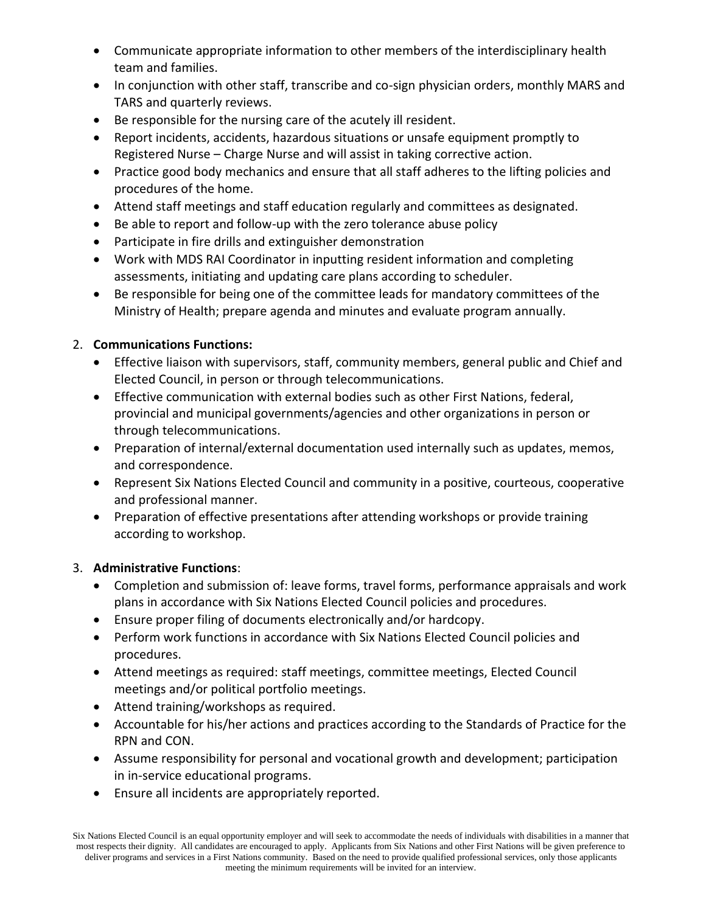- Communicate appropriate information to other members of the interdisciplinary health team and families.
- In conjunction with other staff, transcribe and co-sign physician orders, monthly MARS and TARS and quarterly reviews.
- Be responsible for the nursing care of the acutely ill resident.
- Report incidents, accidents, hazardous situations or unsafe equipment promptly to Registered Nurse – Charge Nurse and will assist in taking corrective action.
- Practice good body mechanics and ensure that all staff adheres to the lifting policies and procedures of the home.
- Attend staff meetings and staff education regularly and committees as designated.
- Be able to report and follow-up with the zero tolerance abuse policy
- Participate in fire drills and extinguisher demonstration
- Work with MDS RAI Coordinator in inputting resident information and completing assessments, initiating and updating care plans according to scheduler.
- Be responsible for being one of the committee leads for mandatory committees of the Ministry of Health; prepare agenda and minutes and evaluate program annually.

## 2. **Communications Functions:**

- Effective liaison with supervisors, staff, community members, general public and Chief and Elected Council, in person or through telecommunications.
- Effective communication with external bodies such as other First Nations, federal, provincial and municipal governments/agencies and other organizations in person or through telecommunications.
- Preparation of internal/external documentation used internally such as updates, memos, and correspondence.
- Represent Six Nations Elected Council and community in a positive, courteous, cooperative and professional manner.
- Preparation of effective presentations after attending workshops or provide training according to workshop.

## 3. **Administrative Functions**:

- Completion and submission of: leave forms, travel forms, performance appraisals and work plans in accordance with Six Nations Elected Council policies and procedures.
- Ensure proper filing of documents electronically and/or hardcopy.
- Perform work functions in accordance with Six Nations Elected Council policies and procedures.
- Attend meetings as required: staff meetings, committee meetings, Elected Council meetings and/or political portfolio meetings.
- Attend training/workshops as required.
- Accountable for his/her actions and practices according to the Standards of Practice for the RPN and CON.
- Assume responsibility for personal and vocational growth and development; participation in in-service educational programs.
- Ensure all incidents are appropriately reported.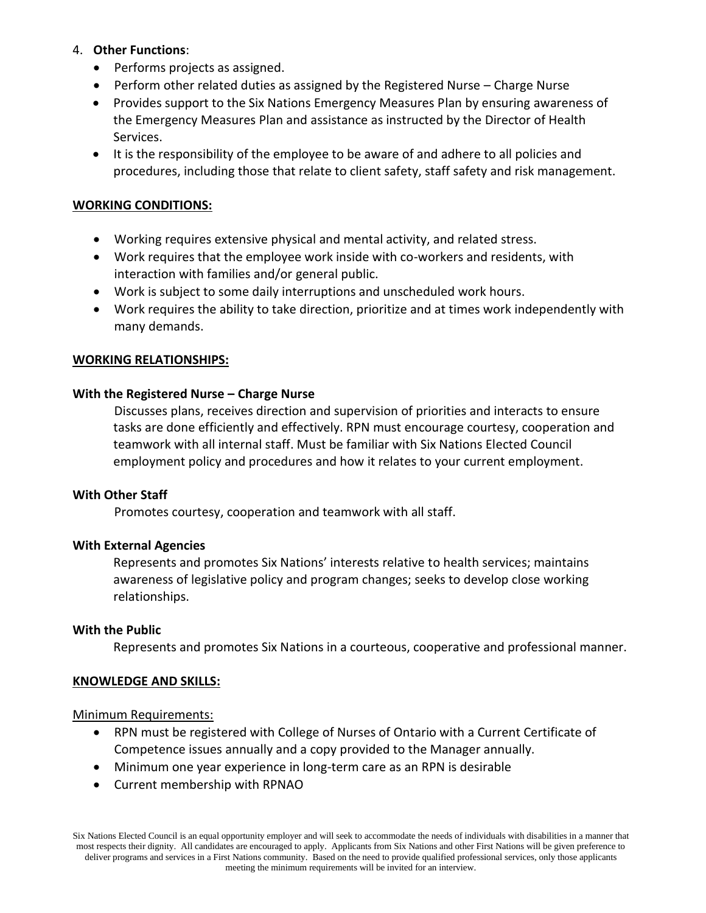### 4. **Other Functions**:

- Performs projects as assigned.
- Perform other related duties as assigned by the Registered Nurse Charge Nurse
- Provides support to the Six Nations Emergency Measures Plan by ensuring awareness of the Emergency Measures Plan and assistance as instructed by the Director of Health Services.
- It is the responsibility of the employee to be aware of and adhere to all policies and procedures, including those that relate to client safety, staff safety and risk management.

### **WORKING CONDITIONS:**

- Working requires extensive physical and mental activity, and related stress.
- Work requires that the employee work inside with co-workers and residents, with interaction with families and/or general public.
- Work is subject to some daily interruptions and unscheduled work hours.
- Work requires the ability to take direction, prioritize and at times work independently with many demands.

### **WORKING RELATIONSHIPS:**

### **With the Registered Nurse – Charge Nurse**

Discusses plans, receives direction and supervision of priorities and interacts to ensure tasks are done efficiently and effectively. RPN must encourage courtesy, cooperation and teamwork with all internal staff. Must be familiar with Six Nations Elected Council employment policy and procedures and how it relates to your current employment.

#### **With Other Staff**

Promotes courtesy, cooperation and teamwork with all staff.

### **With External Agencies**

Represents and promotes Six Nations' interests relative to health services; maintains awareness of legislative policy and program changes; seeks to develop close working relationships.

#### **With the Public**

Represents and promotes Six Nations in a courteous, cooperative and professional manner.

#### **KNOWLEDGE AND SKILLS:**

#### Minimum Requirements:

- RPN must be registered with College of Nurses of Ontario with a Current Certificate of Competence issues annually and a copy provided to the Manager annually.
- Minimum one year experience in long-term care as an RPN is desirable
- Current membership with RPNAO